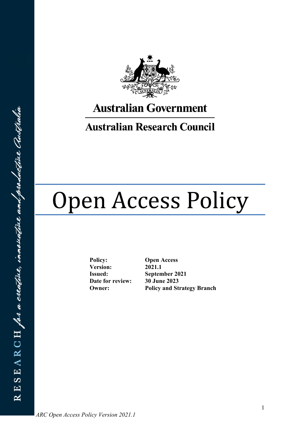

# **Australian Government**

## **Australian Research Council**

# Open Access Policy

**Policy: Open Access Version: 2021.1 Issued: September 2021 Date for review: 30 June 2023**

**Owner: Policy and Strategy Branch**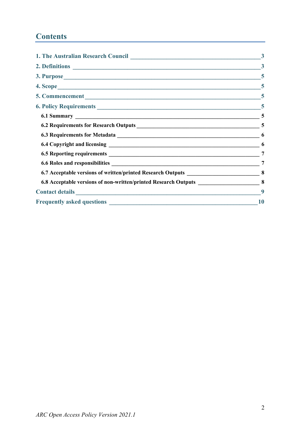## **Contents**

|                                                                                                                                                                                                                               | $\overline{3}$ |
|-------------------------------------------------------------------------------------------------------------------------------------------------------------------------------------------------------------------------------|----------------|
|                                                                                                                                                                                                                               | $\overline{5}$ |
|                                                                                                                                                                                                                               | $\sqrt{5}$     |
|                                                                                                                                                                                                                               |                |
| 6. Policy Requirements 5                                                                                                                                                                                                      |                |
|                                                                                                                                                                                                                               | 5              |
|                                                                                                                                                                                                                               |                |
|                                                                                                                                                                                                                               | 6              |
|                                                                                                                                                                                                                               | 6              |
|                                                                                                                                                                                                                               | $\overline{7}$ |
|                                                                                                                                                                                                                               | 7              |
|                                                                                                                                                                                                                               |                |
| 6.8 Acceptable versions of non-written/printed Research Outputs ________________                                                                                                                                              | 8              |
| Contact details expression of the contract of the contract of the contract of the contract of the contract of the contract of the contract of the contract of the contract of the contract of the contract of the contract of | 9              |
|                                                                                                                                                                                                                               | 10             |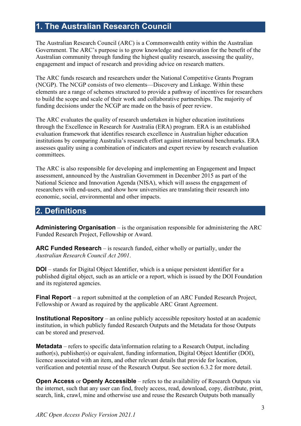## <span id="page-2-0"></span>**1. The Australian Research Council**

The Australian Research Council (ARC) is a Commonwealth entity within the Australian Government. The ARC's purpose is to grow knowledge and innovation for the benefit of the Australian community through funding the highest quality research, assessing the quality, engagement and impact of research and providing advice on research matters.

The ARC funds research and researchers under the National Competitive Grants Program (NCGP). The NCGP consists of two elements—Discovery and Linkage. Within these elements are a range of schemes structured to provide a pathway of incentives for researchers to build the scope and scale of their work and collaborative partnerships. The majority of funding decisions under the NCGP are made on the basis of peer review.

The ARC evaluates the quality of research undertaken in higher education institutions through the Excellence in Research for Australia (ERA) program. ERA is an established evaluation framework that identifies research excellence in Australian higher education institutions by comparing Australia's research effort against international benchmarks. ERA assesses quality using a combination of indicators and expert review by research evaluation committees.

The ARC is also responsible for developing and implementing an Engagement and Impact assessment, announced by the Australian Government in December 2015 as part of the National Science and Innovation Agenda (NISA), which will assess the engagement of researchers with end-users, and show how universities are translating their research into economic, social, environmental and other impacts.

## <span id="page-2-1"></span>**2. Definitions**

**Administering Organisation** – is the organisation responsible for administering the ARC Funded Research Project, Fellowship or Award.

**ARC Funded Research** – is research funded, either wholly or partially, under the *Australian Research Council Act 2001*.

**DOI** – stands for Digital Object Identifier, which is a unique persistent identifier for a published digital object, such as an article or a report, which is issued by the DOI Foundation and its registered agencies.

**Final Report** – a report submitted at the completion of an ARC Funded Research Project, Fellowship or Award as required by the applicable ARC Grant Agreement.

**Institutional Repository** – an online publicly accessible repository hosted at an academic institution, in which publicly funded Research Outputs and the Metadata for those Outputs can be stored and preserved.

**Metadata** – refers to specific data/information relating to a Research Output, including author(s), publisher(s) or equivalent, funding information, Digital Object Identifier (DOI), licence associated with an item, and other relevant details that provide for location, verification and potential reuse of the Research Output. See section 6.3.2 for more detail.

**Open Access** or **Openly Accessible** – refers to the availability of Research Outputs via the internet, such that any user can find, freely access, read, download, copy, distribute, print, search, link, crawl, mine and otherwise use and reuse the Research Outputs both manually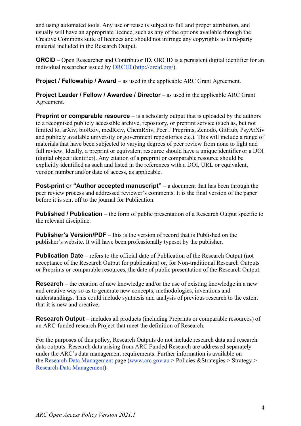and using automated tools. Any use or reuse is subject to full and proper attribution, and usually will have an appropriate licence, such as any of the options available through the Creative Commons suite of licences and should not infringe any copyrights to third-party material included in the Research Output.

**ORCID** – Open Researcher and Contributor ID. ORCID is a persistent digital identifier for an individual researcher issued by [ORCID](http://orcid.org/) [\(http://orcid.org/\)](http://orcid.org/).

**Project / Fellowship / Award** – as used in the applicable ARC Grant Agreement.

**Project Leader / Fellow / Awardee / Director** – as used in the applicable ARC Grant Agreement.

**Preprint or comparable resource** – is a scholarly output that is uploaded by the authors to a recognised publicly accessible archive, repository, or preprint service (such as, but not limited to, arXiv, bioRxiv, medRxiv, ChemRxiv, Peer J Preprints, Zenodo, GitHub, PsyArXiv and publicly available university or government repositories etc.). This will include a range of materials that have been subjected to varying degrees of peer review from none to light and full review. Ideally, a preprint or equivalent resource should have a unique identifier or a DOI (digital object identifier). Any citation of a preprint or comparable resource should be explicitly identified as such and listed in the references with a DOI, URL or equivalent, version number and/or date of access, as applicable.

**Post-print or "Author accepted manuscript"** – a document that has been through the peer review process and addressed reviewer's comments. It is the final version of the paper before it is sent off to the journal for Publication.

**Published / Publication** – the form of public presentation of a Research Output specific to the relevant discipline.

**Publisher's Version/PDF** – this is the version of record that is Published on the publisher's website. It will have been professionally typeset by the publisher.

**Publication Date** – refers to the official date of Publication of the Research Output (not acceptance of the Research Output for publication) or, for Non-traditional Research Outputs or Preprints or comparable resources, the date of public presentation of the Research Output.

**Research** – the creation of new knowledge and/or the use of existing knowledge in a new and creative way so as to generate new concepts, methodologies, inventions and understandings. This could include synthesis and analysis of previous research to the extent that it is new and creative.

**Research Output** – includes all products (including Preprints or comparable resources) of an ARC-funded research Project that meet the definition of Research.

For the purposes of this policy, Research Outputs do not include research data and research data outputs. Research data arising from ARC Funded Research are addressed separately under the ARC's data management requirements. Further information is available on the [Research Data Management](http://www.arc.gov.au/research-data-management) page [\(www.arc.gov.au](http://www.arc.gov.au/) > Policies &Strategies > Strategy > [Research Data Management\)](http://www.arc.gov.au/research-data-management).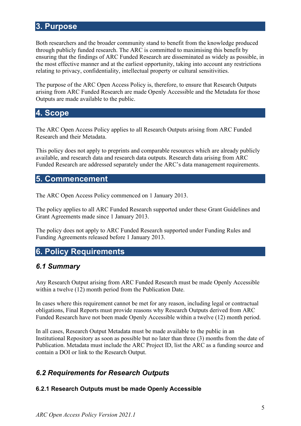## <span id="page-4-0"></span>**3. Purpose**

Both researchers and the broader community stand to benefit from the knowledge produced through publicly funded research. The ARC is committed to maximising this benefit by ensuring that the findings of ARC Funded Research are disseminated as widely as possible, in the most effective manner and at the earliest opportunity, taking into account any restrictions relating to privacy, confidentiality, intellectual property or cultural sensitivities.

The purpose of the ARC Open Access Policy is, therefore, to ensure that Research Outputs arising from ARC Funded Research are made Openly Accessible and the Metadata for those Outputs are made available to the public.

## <span id="page-4-1"></span>**4. Scope**

The ARC Open Access Policy applies to all Research Outputs arising from ARC Funded Research and their Metadata.

This policy does not apply to preprints and comparable resources which are already publicly available, and research data and research data outputs. Research data arising from ARC Funded Research are addressed separately under the ARC's data management requirements.

## <span id="page-4-2"></span>**5. Commencement**

The ARC Open Access Policy commenced on 1 January 2013.

The policy applies to all ARC Funded Research supported under these Grant Guidelines and Grant Agreements made since 1 January 2013.

The policy does not apply to ARC Funded Research supported under Funding Rules and Funding Agreements released before 1 January 2013.

## <span id="page-4-3"></span>**6. Policy Requirements**

## <span id="page-4-4"></span>*6.1 Summary*

Any Research Output arising from ARC Funded Research must be made Openly Accessible within a twelve (12) month period from the Publication Date.

In cases where this requirement cannot be met for any reason, including legal or contractual obligations, Final Reports must provide reasons why Research Outputs derived from ARC Funded Research have not been made Openly Accessible within a twelve (12) month period.

In all cases, Research Output Metadata must be made available to the public in an Institutional Repository as soon as possible but no later than three (3) months from the date of Publication. Metadata must include the ARC Project ID, list the ARC as a funding source and contain a DOI or link to the Research Output.

## <span id="page-4-5"></span>*6.2 Requirements for Research Outputs*

### **6.2.1 Research Outputs must be made Openly Accessible**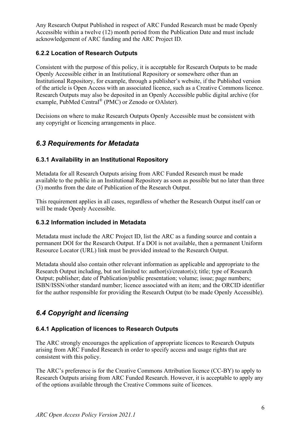Any Research Output Published in respect of ARC Funded Research must be made Openly Accessible within a twelve (12) month period from the Publication Date and must include acknowledgement of ARC funding and the ARC Project ID.

## **6.2.2 Location of Research Outputs**

Consistent with the purpose of this policy, it is acceptable for Research Outputs to be made Openly Accessible either in an Institutional Repository or somewhere other than an Institutional Repository, for example, through a publisher's website, if the Published version of the article is Open Access with an associated licence, such as a Creative Commons licence. Research Outputs may also be deposited in an Openly Accessible public digital archive (for example, PubMed Central® (PMC) or Zenodo or OAlster).

Decisions on where to make Research Outputs Openly Accessible must be consistent with any copyright or licencing arrangements in place.

## <span id="page-5-0"></span>*6.3 Requirements for Metadata*

## **6.3.1 Availability in an Institutional Repository**

Metadata for all Research Outputs arising from ARC Funded Research must be made available to the public in an Institutional Repository as soon as possible but no later than three (3) months from the date of Publication of the Research Output.

This requirement applies in all cases, regardless of whether the Research Output itself can or will be made Openly Accessible.

### **6.3.2 Information included in Metadata**

Metadata must include the ARC Project ID, list the ARC as a funding source and contain a permanent DOI for the Research Output. If a DOI is not available, then a permanent Uniform Resource Locator (URL) link must be provided instead to the Research Output.

Metadata should also contain other relevant information as applicable and appropriate to the Research Output including, but not limited to: author(s)/creator(s); title; type of Research Output; publisher; date of Publication/public presentation; volume; issue; page numbers; ISBN/ISSN/other standard number; licence associated with an item; and the ORCID identifier for the author responsible for providing the Research Output (to be made Openly Accessible).

## <span id="page-5-1"></span>*6.4 Copyright and licensing*

### **6.4.1 Application of licences to Research Outputs**

The ARC strongly encourages the application of appropriate licences to Research Outputs arising from ARC Funded Research in order to specify access and usage rights that are consistent with this policy.

The ARC's preference is for the Creative Commons Attribution licence (CC-BY) to apply to Research Outputs arising from ARC Funded Research. However, it is acceptable to apply any of the options available through the Creative Commons suite of licences.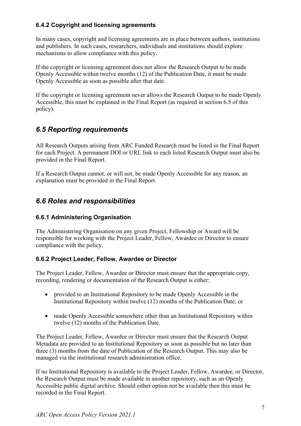## **6.4.2 Copyright and licensing agreements**

In many cases, copyright and licensing agreements are in place between authors, institutions and publishers. In such cases, researchers, individuals and institutions should explore mechanisms to allow compliance with this policy.

If the copyright or licensing agreement does not allow the Research Output to be made Openly Accessible within twelve months (12) of the Publication Date, it must be made Openly Accessible as soon as possible after that date.

If the copyright or licensing agreement never allows the Research Output to be made Openly Accessible, this must be explained in the Final Report (as required in section 6.5 of this policy).

## <span id="page-6-0"></span>*6.5 Reporting requirements*

All Research Outputs arising from ARC Funded Research must be listed in the Final Report for each Project. A permanent DOI or URL link to each listed Research Output must also be provided in the Final Report.

If a Research Output cannot, or will not, be made Openly Accessible for any reason, an explanation must be provided in the Final Report.

## <span id="page-6-1"></span>*6.6 Roles and responsibilities*

### **6.6.1 Administering Organisation**

The Administering Organisation on any given Project, Fellowship or Award will be responsible for working with the Project Leader, Fellow, Awardee or Director to ensure compliance with the policy.

### **6.6.2 Project Leader, Fellow, Awardee or Director**

The Project Leader, Fellow, Awardee or Director must ensure that the appropriate copy, recording, rendering or documentation of the Research Output is either:

- provided to an Institutional Repository to be made Openly Accessible in the Institutional Repository within twelve (12) months of the Publication Date; or
- made Openly Accessible somewhere other than an Institutional Repository within twelve (12) months of the Publication Date.

The Project Leader, Fellow, Awardee or Director must ensure that the Research Output Metadata are provided to an Institutional Repository as soon as possible but no later than three (3) months from the date of Publication of the Research Output. This may also be managed via the institutional research administration office.

If no Institutional Repository is available to the Project Leader, Fellow, Awardee, or Director, the Research Output must be made available in another repository, such as an Openly Accessible public digital archive. Should either option not be available then this must be recorded in the Final Report.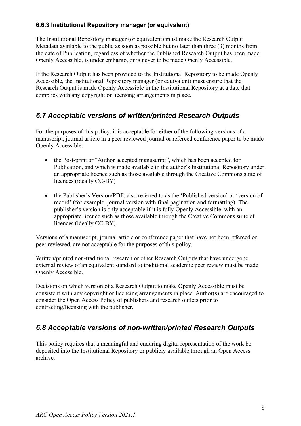## **6.6.3 Institutional Repository manager (or equivalent)**

The Institutional Repository manager (or equivalent) must make the Research Output Metadata available to the public as soon as possible but no later than three (3) months from the date of Publication, regardless of whether the Published Research Output has been made Openly Accessible, is under embargo, or is never to be made Openly Accessible.

If the Research Output has been provided to the Institutional Repository to be made Openly Accessible, the Institutional Repository manager (or equivalent) must ensure that the Research Output is made Openly Accessible in the Institutional Repository at a date that complies with any copyright or licensing arrangements in place.

## <span id="page-7-0"></span>*6.7 Acceptable versions of written/printed Research Outputs*

For the purposes of this policy, it is acceptable for either of the following versions of a manuscript, journal article in a peer reviewed journal or refereed conference paper to be made Openly Accessible:

- the Post-print or "Author accepted manuscript", which has been accepted for Publication, and which is made available in the author's Institutional Repository under an appropriate licence such as those available through the Creative Commons suite of licences (ideally CC-BY)
- the Publisher's Version/PDF, also referred to as the 'Published version' or 'version of record' (for example, journal version with final pagination and formatting). The publisher's version is only acceptable if it is fully Openly Accessible, with an appropriate licence such as those available through the Creative Commons suite of licences (ideally CC-BY).

Versions of a manuscript, journal article or conference paper that have not been refereed or peer reviewed, are not acceptable for the purposes of this policy.

Written/printed non-traditional research or other Research Outputs that have undergone external review of an equivalent standard to traditional academic peer review must be made Openly Accessible.

Decisions on which version of a Research Output to make Openly Accessible must be consistent with any copyright or licencing arrangements in place. Author(s) are encouraged to consider the Open Access Policy of publishers and research outlets prior to contracting/licensing with the publisher.

## <span id="page-7-1"></span>*6.8 Acceptable versions of non-written/printed Research Outputs*

This policy requires that a meaningful and enduring digital representation of the work be deposited into the Institutional Repository or publicly available through an Open Access archive.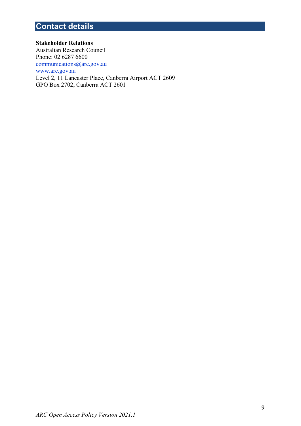## <span id="page-8-0"></span>**Contact details**

**Stakeholder Relations** Australian Research Council Phone: 02 6287 6600 [communications@arc.gov.au](mailto:communications@arc.gov.au) [www.arc.gov.au](http://www.arc.gov.au/) Level 2, 11 Lancaster Place, Canberra Airport ACT 2609 GPO Box 2702, Canberra ACT 2601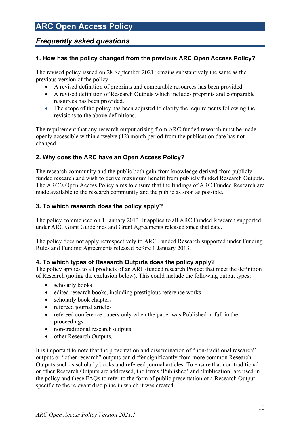## **ARC Open Access Policy**

## <span id="page-9-0"></span>*Frequently asked questions*

## **1. How has the policy changed from the previous ARC Open Access Policy?**

The revised policy issued on 28 September 2021 remains substantively the same as the previous version of the policy.

- A revised definition of preprints and comparable resources has been provided.
- A revised definition of Research Outputs which includes preprints and comparable resources has been provided.
- The scope of the policy has been adjusted to clarify the requirements following the revisions to the above definitions.

The requirement that any research output arising from ARC funded research must be made openly accessible within a twelve (12) month period from the publication date has not changed.

## **2. Why does the ARC have an Open Access Policy?**

The research community and the public both gain from knowledge derived from publicly funded research and wish to derive maximum benefit from publicly funded Research Outputs. The ARC's Open Access Policy aims to ensure that the findings of ARC Funded Research are made available to the research community and the public as soon as possible.

## **3. To which research does the policy apply?**

The policy commenced on 1 January 2013. It applies to all ARC Funded Research supported under ARC Grant Guidelines and Grant Agreements released since that date.

The policy does not apply retrospectively to ARC Funded Research supported under Funding Rules and Funding Agreements released before 1 January 2013.

### **4. To which types of Research Outputs does the policy apply?**

The policy applies to all products of an ARC-funded research Project that meet the definition of Research (noting the exclusion below). This could include the following output types:

- scholarly books
- edited research books, including prestigious reference works
- scholarly book chapters
- refereed journal articles
- refereed conference papers only when the paper was Published in full in the proceedings
- non-traditional research outputs
- other Research Outputs.

It is important to note that the presentation and dissemination of "non-traditional research" outputs or "other research" outputs can differ significantly from more common Research Outputs such as scholarly books and refereed journal articles. To ensure that non-traditional or other Research Outputs are addressed, the terms 'Published' and 'Publication' are used in the policy and these FAQs to refer to the form of public presentation of a Research Output specific to the relevant discipline in which it was created.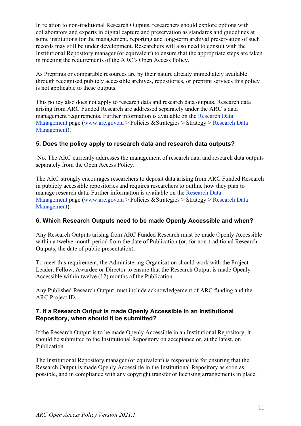In relation to non-traditional Research Outputs, researchers should explore options with collaborators and experts in digital capture and preservation as standards and guidelines at some institutions for the management, reporting and long-term archival preservation of such records may still be under development. Researchers will also need to consult with the Institutional Repository manager (or equivalent) to ensure that the appropriate steps are taken in meeting the requirements of the ARC's Open Access Policy.

As Preprints or comparable resources are by their nature already immediately available through recognised publicly accessible archives, repositories, or preprint services this policy is not applicable to these outputs.

This policy also does not apply to research data and research data outputs. Research data arising from ARC Funded Research are addressed separately under the ARC's data management requirements. Further information is available on the [Research Data](http://www.arc.gov.au/research-data-management)  [Management](http://www.arc.gov.au/research-data-management) page [\(www.arc.gov.au](http://www.arc.gov.au/) > Policies &Strategies > Strategy > [Research Data](http://www.arc.gov.au/research-data-management)  [Management\)](http://www.arc.gov.au/research-data-management).

### **5. Does the policy apply to research data and research data outputs?**

No. The ARC currently addresses the management of research data and research data outputs separately from the Open Access Policy.

The ARC strongly encourages researchers to deposit data arising from ARC Funded Research in publicly accessible repositories and requires researchers to outline how they plan to manage research data. Further information is available on the [Research Data](http://www.arc.gov.au/research-data-management)  [Management](http://www.arc.gov.au/research-data-management) page [\(www.arc.gov.au](http://www.arc.gov.au/) > Policies &Strategies > Strategy > [Research Data](http://www.arc.gov.au/research-data-management)  [Management\)](http://www.arc.gov.au/research-data-management).

### **6. Which Research Outputs need to be made Openly Accessible and when?**

Any Research Outputs arising from ARC Funded Research must be made Openly Accessible within a twelve-month period from the date of Publication (or, for non-traditional Research Outputs, the date of public presentation).

To meet this requirement, the Administering Organisation should work with the Project Leader, Fellow, Awardee or Director to ensure that the Research Output is made Openly Accessible within twelve (12) months of the Publication.

Any Published Research Output must include acknowledgement of ARC funding and the ARC Project ID.

#### **7. If a Research Output is made Openly Accessible in an Institutional Repository, when should it be submitted?**

If the Research Output is to be made Openly Accessible in an Institutional Repository, it should be submitted to the Institutional Repository on acceptance or, at the latest, on Publication.

The Institutional Repository manager (or equivalent) is responsible for ensuring that the Research Output is made Openly Accessible in the Institutional Repository as soon as possible, and in compliance with any copyright transfer or licensing arrangements in place.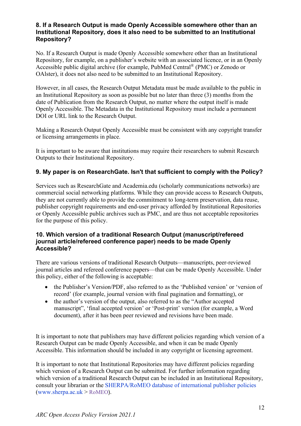#### **8. If a Research Output is made Openly Accessible somewhere other than an Institutional Repository, does it also need to be submitted to an Institutional Repository?**

No. If a Research Output is made Openly Accessible somewhere other than an Institutional Repository, for example, on a publisher's website with an associated licence, or in an Openly Accessible public digital archive (for example, PubMed Central® (PMC) or Zenodo or OAlster), it does not also need to be submitted to an Institutional Repository.

However, in all cases, the Research Output Metadata must be made available to the public in an Institutional Repository as soon as possible but no later than three (3) months from the date of Publication from the Research Output, no matter where the output itself is made Openly Accessible. The Metadata in the Institutional Repository must include a permanent DOI or URL link to the Research Output.

Making a Research Output Openly Accessible must be consistent with any copyright transfer or licensing arrangements in place.

It is important to be aware that institutions may require their researchers to submit Research Outputs to their Institutional Repository.

### **9. My paper is on ResearchGate. Isn't that sufficient to comply with the Policy?**

Services such as ResearchGate and Academia.edu (scholarly communications networks) are commercial social networking platforms. While they can provide access to Research Outputs, they are not currently able to provide the commitment to long-term preservation, data reuse, publisher copyright requirements and end-user privacy afforded by Institutional Repositories or Openly Accessible public archives such as PMC, and are thus not acceptable repositories for the purpose of this policy.

#### **10. Which version of a traditional Research Output (manuscript/refereed journal article/refereed conference paper) needs to be made Openly Accessible?**

There are various versions of traditional Research Outputs—manuscripts, peer-reviewed journal articles and refereed conference papers—that can be made Openly Accessible. Under this policy, either of the following is acceptable:

- the Publisher's Version/PDF, also referred to as the 'Published version' or 'version of record' (for example, journal version with final pagination and formatting), or
- the author's version of the output, also referred to as the "Author accepted" manuscript", 'final accepted version' or 'Post-print' version (for example, a Word document), after it has been peer reviewed and revisions have been made.

It is important to note that publishers may have different policies regarding which version of a Research Output can be made Openly Accessible, and when it can be made Openly Accessible. This information should be included in any copyright or licensing agreement.

It is important to note that Institutional Repositories may have different policies regarding which version of a Research Output can be submitted. For further information regarding which version of a traditional Research Output can be included in an Institutional Repository, consult your librarian or the [SHERPA/RoMEO database of international publisher policies](http://www.sherpa.ac.uk/romeo/)  $(www.sherpa.ac.uk > RoMEO).$  $(www.sherpa.ac.uk > RoMEO).$  $(www.sherpa.ac.uk > RoMEO).$  $(www.sherpa.ac.uk > RoMEO).$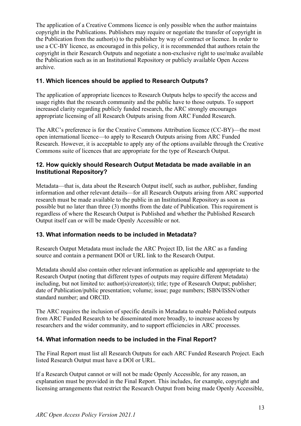The application of a Creative Commons licence is only possible when the author maintains copyright in the Publications. Publishers may require or negotiate the transfer of copyright in the Publication from the author(s) to the publisher by way of contract or licence. In order to use a CC-BY licence, as encouraged in this policy, it is recommended that authors retain the copyright in their Research Outputs and negotiate a non-exclusive right to use/make available the Publication such as in an Institutional Repository or publicly available Open Access archive.

## **11. Which licences should be applied to Research Outputs?**

The application of appropriate licences to Research Outputs helps to specify the access and usage rights that the research community and the public have to those outputs. To support increased clarity regarding publicly funded research, the ARC strongly encourages appropriate licensing of all Research Outputs arising from ARC Funded Research.

The ARC's preference is for the Creative Commons Attribution licence (CC-BY)—the most open international licence—to apply to Research Outputs arising from ARC Funded Research. However, it is acceptable to apply any of the options available through the Creative Commons suite of licences that are appropriate for the type of Research Output.

#### **12. How quickly should Research Output Metadata be made available in an Institutional Repository?**

Metadata—that is, data about the Research Output itself, such as author, publisher, funding information and other relevant details—for all Research Outputs arising from ARC supported research must be made available to the public in an Institutional Repository as soon as possible but no later than three (3) months from the date of Publication. This requirement is regardless of where the Research Output is Published and whether the Published Research Output itself can or will be made Openly Accessible or not.

### **13. What information needs to be included in Metadata?**

Research Output Metadata must include the ARC Project ID, list the ARC as a funding source and contain a permanent DOI or URL link to the Research Output.

Metadata should also contain other relevant information as applicable and appropriate to the Research Output (noting that different types of outputs may require different Metadata) including, but not limited to: author(s)/creator(s); title; type of Research Output; publisher; date of Publication/public presentation; volume; issue; page numbers; ISBN/ISSN/other standard number; and ORCID.

The ARC requires the inclusion of specific details in Metadata to enable Published outputs from ARC Funded Research to be disseminated more broadly, to increase access by researchers and the wider community, and to support efficiencies in ARC processes.

### **14. What information needs to be included in the Final Report?**

The Final Report must list all Research Outputs for each ARC Funded Research Project. Each listed Research Output must have a DOI or URL.

If a Research Output cannot or will not be made Openly Accessible, for any reason, an explanation must be provided in the Final Report. This includes, for example, copyright and licensing arrangements that restrict the Research Output from being made Openly Accessible,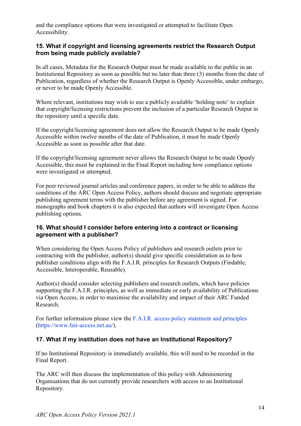and the compliance options that were investigated or attempted to facilitate Open Accessibility.

#### **15. What if copyright and licensing agreements restrict the Research Output from being made publicly available?**

In all cases, Metadata for the Research Output must be made available to the public in an Institutional Repository as soon as possible but no later than three (3) months from the date of Publication, regardless of whether the Research Output is Openly Accessible, under embargo, or never to be made Openly Accessible.

Where relevant, institutions may wish to use a publicly available 'holding note' to explain that copyright/licensing restrictions prevent the inclusion of a particular Research Output in the repository until a specific date.

If the copyright/licensing agreement does not allow the Research Output to be made Openly Accessible within twelve months of the date of Publication, it must be made Openly Accessible as soon as possible after that date.

If the copyright/licensing agreement never allows the Research Output to be made Openly Accessible, this must be explained in the Final Report including how compliance options were investigated or attempted.

For peer reviewed journal articles and conference papers, in order to be able to address the conditions of the ARC Open Access Policy, authors should discuss and negotiate appropriate publishing agreement terms with the publisher before any agreement is signed. For monographs and book chapters it is also expected that authors will investigate Open Access publishing options.

#### **16. What should I consider before entering into a contract or licensing agreement with a publisher?**

When considering the Open Access Policy of publishers and research outlets prior to contracting with the publisher, author(s) should give specific consideration as to how publisher conditions align with the F.A.I.R. principles for Research Outputs (Findable, Accessible, Interoperable, Reusable).

Author(s) should consider selecting publishers and research outlets, which have policies supporting the F.A.I.R. principles, as well as immediate or early availability of Publications via Open Access, in order to maximise the availability and impact of their ARC Funded Research.

For further information please view the [F.A.I.R. access policy statement and principles](https://www.fair-access.net.au/) [\(https://www.fair-access.net.au/\)](https://www.fair-access.net.au/).

### **17. What if my institution does not have an Institutional Repository?**

If no Institutional Repository is immediately available, this will need to be recorded in the Final Report.

The ARC will then discuss the implementation of this policy with Administering Organisations that do not currently provide researchers with access to an Institutional Repository.